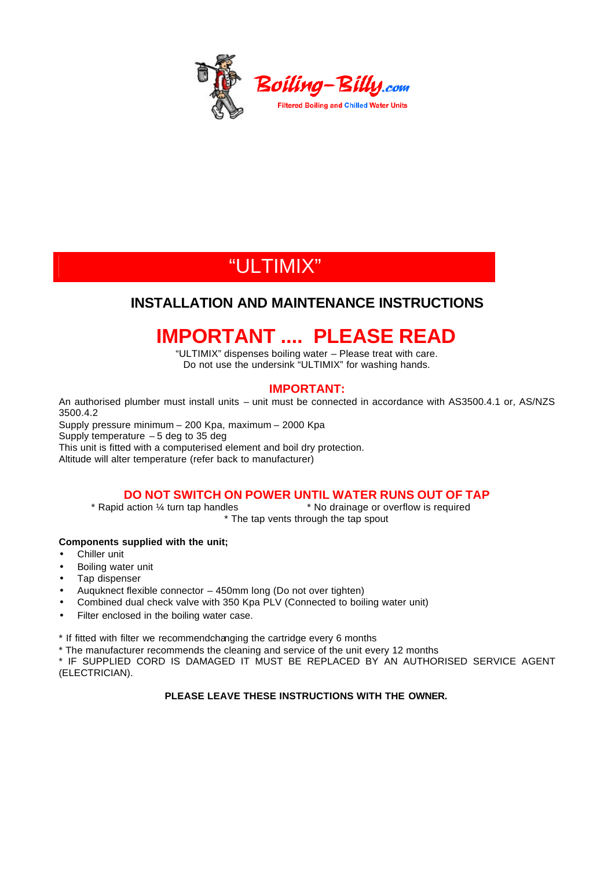

# "ULTIMIX"

### **INSTALLATION AND MAINTENANCE INSTRUCTIONS**

# **IMPORTANT .... PLEASE READ**

"ULTIMIX" dispenses boiling water – Please treat with care. Do not use the undersink "ULTIMIX" for washing hands.

### **IMPORTANT:**

An authorised plumber must install units – unit must be connected in accordance with AS3500.4.1 or, AS/NZS 3500.4.2

Supply pressure minimum – 200 Kpa, maximum – 2000 Kpa Supply temperature – 5 deg to 35 deg This unit is fitted with a computerised element and boil dry protection. Altitude will alter temperature (refer back to manufacturer)

### **DO NOT SWITCH ON POWER UNTIL WATER RUNS OUT OF TAP**

\* Rapid action ¼ turn tap handles \* No drainage or overflow is required \* The tap vents through the tap spout

### **Components supplied with the unit;**

- Chiller unit
- Boiling water unit
- Tap dispenser
- Auquknect flexible connector 450mm long (Do not over tighten)
- Combined dual check valve with 350 Kpa PLV (Connected to boiling water unit)
- Filter enclosed in the boiling water case.

\* If fitted with filter we recommendchanging the cartridge every 6 months

\* The manufacturer recommends the cleaning and service of the unit every 12 months

\* IF SUPPLIED CORD IS DAMAGED IT MUST BE REPLACED BY AN AUTHORISED SERVICE AGENT (ELECTRICIAN).

#### **PLEASE LEAVE THESE INSTRUCTIONS WITH THE OWNER.**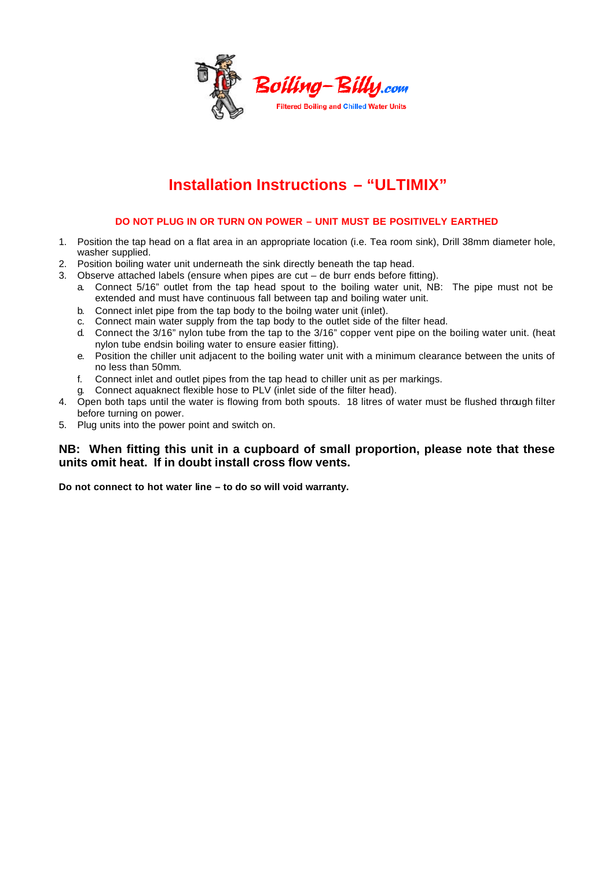

# **Installation Instructions – "ULTIMIX"**

### **DO NOT PLUG IN OR TURN ON POWER – UNIT MUST BE POSITIVELY EARTHED**

- 1. Position the tap head on a flat area in an appropriate location (i.e. Tea room sink), Drill 38mm diameter hole, washer supplied.
- 2. Position boiling water unit underneath the sink directly beneath the tap head.
- 3. Observe attached labels (ensure when pipes are cut de burr ends before fitting).
	- a. Connect 5/16" outlet from the tap head spout to the boiling water unit, NB: The pipe must not be extended and must have continuous fall between tap and boiling water unit.
	- b. Connect inlet pipe from the tap body to the boilng water unit (inlet).
	- c. Connect main water supply from the tap body to the outlet side of the filter head.
	- d. Connect the 3/16" nylon tube from the tap to the 3/16" copper vent pipe on the boiling water unit. (heat nylon tube endsin boiling water to ensure easier fitting).
	- e. Position the chiller unit adjacent to the boiling water unit with a minimum clearance between the units of no less than 50mm.
	- f. Connect inlet and outlet pipes from the tap head to chiller unit as per markings.
	- g. Connect aquaknect flexible hose to PLV (inlet side of the filter head).
- 4. Open both taps until the water is flowing from both spouts. 18 litres of water must be flushed through filter before turning on power.
- 5. Plug units into the power point and switch on.

### **NB: When fitting this unit in a cupboard of small proportion, please note that these units omit heat. If in doubt install cross flow vents.**

**Do not connect to hot water line – to do so will void warranty.**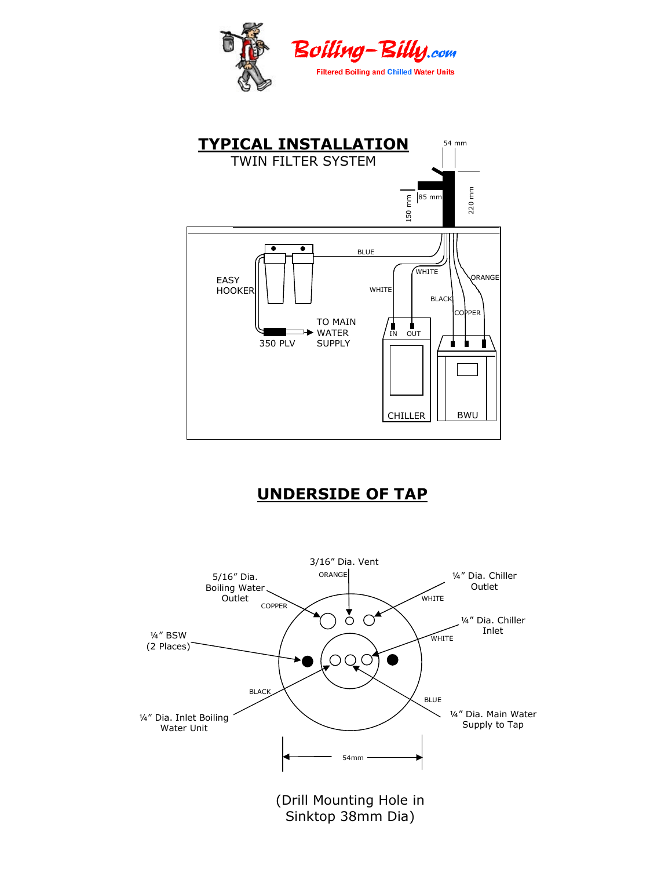



# **UNDERSIDE OF TAP**